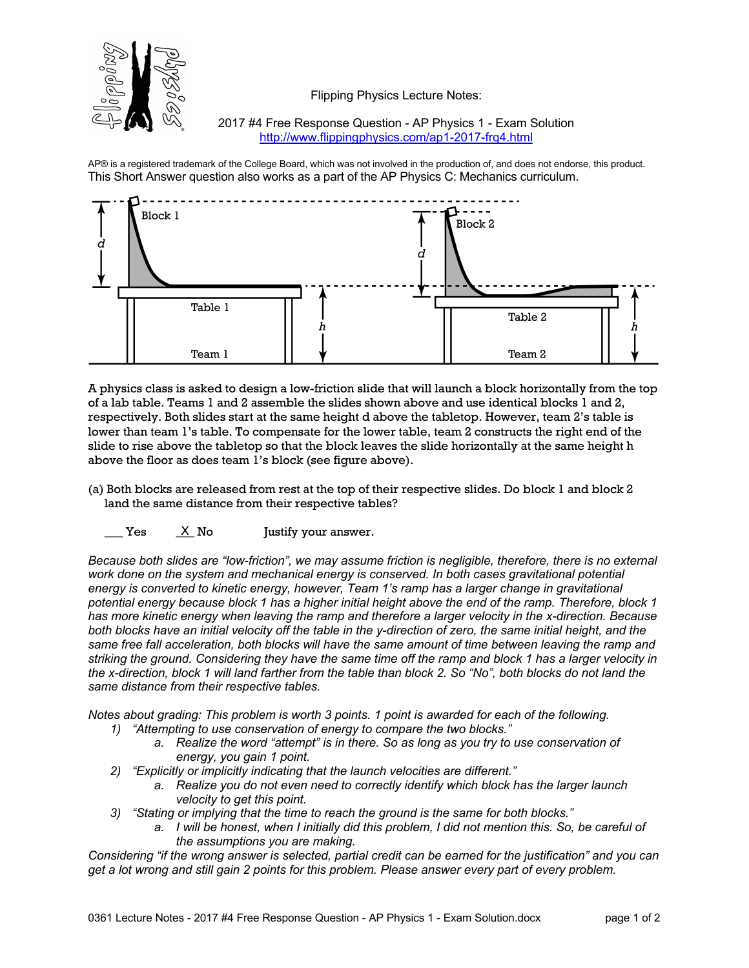

Flipping Physics Lecture Notes:

2017 #4 Free Response Question - AP Physics 1 - Exam Solution http://www.flippingphysics.com/ap1-2017-frq4.html

AP® is a registered trademark of the College Board, which was not involved in the production of, and does not endorse, this product. This Short Answer question also works as a part of the AP Physics C: Mechanics curriculum.



A physics class is asked to design a low-friction slide that will launch a block horizontally from the top of a lab table. Teams 1 and 2 assemble the slides shown above and use identical blocks 1 and 2, respectively. Both slides start at the same height d above the tabletop. However, team 2's table is lower than team 1's table. To compensate for the lower table, team 2 constructs the right end of the slide to rise above the tabletop so that the block leaves the slide horizontally at the same height h above the floor as does team 1's block (see figure above).

- (a) Both blocks are released from rest at the top of their respective slides. Do block 1 and block 2 land the same distance from their respective tables?
	- $Yes$   $X$  No Justify your answer. X No

*Because both slides are "low-friction", we may assume friction is negligible, therefore, there is no external*  work done on the system and mechanical energy is conserved. In both cases gravitational potential *energy is converted to kinetic energy, however, Team 1's ramp has a larger change in gravitational potential energy because block 1 has a higher initial height above the end of the ramp. Therefore, block 1 has more kinetic energy when leaving the ramp and therefore a larger velocity in the x-direction. Because both blocks have an initial velocity off the table in the y-direction of zero, the same initial height, and the same free fall acceleration, both blocks will have the same amount of time between leaving the ramp and striking the ground. Considering they have the same time off the ramp and block 1 has a larger velocity in the x-direction, block 1 will land farther from the table than block 2. So "No", both blocks do not land the same distance from their respective tables.*

*Notes about grading: This problem is worth 3 points. 1 point is awarded for each of the following.*

- *1) "Attempting to use conservation of energy to compare the two blocks."*
	- *a. Realize the word "attempt" is in there. So as long as you try to use conservation of energy, you gain 1 point.*
- *2) "Explicitly or implicitly indicating that the launch velocities are different."*
	- *a. Realize you do not even need to correctly identify which block has the larger launch velocity to get this point.*
- *3) "Stating or implying that the time to reach the ground is the same for both blocks."*
	- *a. I will be honest, when I initially did this problem, I did not mention this. So, be careful of the assumptions you are making.*

*Considering "if the wrong answer is selected, partial credit can be earned for the justification" and you can get a lot wrong and still gain 2 points for this problem. Please answer every part of every problem.*